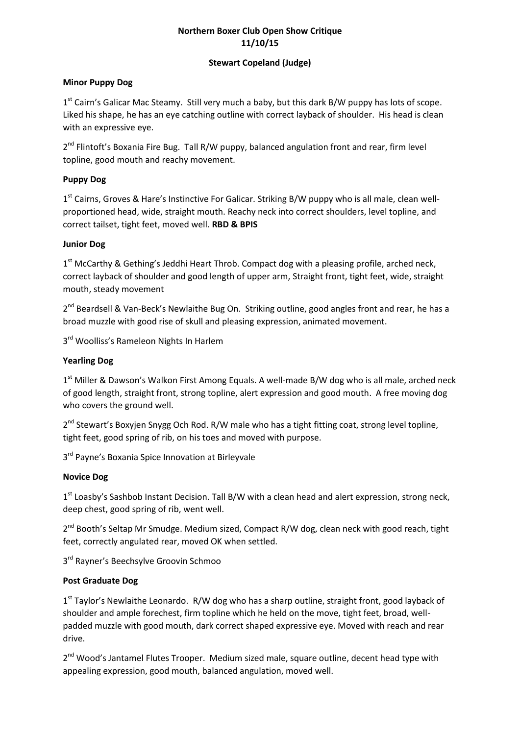# **Northern Boxer Club Open Show Critique 11/10/15**

#### **Stewart Copeland (Judge)**

#### **Minor Puppy Dog**

1<sup>st</sup> Cairn's Galicar Mac Steamy. Still very much a baby, but this dark B/W puppy has lots of scope. Liked his shape, he has an eye catching outline with correct layback of shoulder. His head is clean with an expressive eye.

2<sup>nd</sup> Flintoft's Boxania Fire Bug. Tall R/W puppy, balanced angulation front and rear, firm level topline, good mouth and reachy movement.

#### **Puppy Dog**

1<sup>st</sup> Cairns, Groves & Hare's Instinctive For Galicar. Striking B/W puppy who is all male, clean wellproportioned head, wide, straight mouth. Reachy neck into correct shoulders, level topline, and correct tailset, tight feet, moved well. **RBD & BPIS**

#### **Junior Dog**

1<sup>st</sup> McCarthy & Gething's Jeddhi Heart Throb. Compact dog with a pleasing profile, arched neck, correct layback of shoulder and good length of upper arm, Straight front, tight feet, wide, straight mouth, steady movement

2<sup>nd</sup> Beardsell & Van-Beck's Newlaithe Bug On. Striking outline, good angles front and rear, he has a broad muzzle with good rise of skull and pleasing expression, animated movement.

3<sup>rd</sup> Woolliss's Rameleon Nights In Harlem

#### **Yearling Dog**

1<sup>st</sup> Miller & Dawson's Walkon First Among Equals. A well-made B/W dog who is all male, arched neck of good length, straight front, strong topline, alert expression and good mouth. A free moving dog who covers the ground well.

2<sup>nd</sup> Stewart's Boxyjen Snygg Och Rod. R/W male who has a tight fitting coat, strong level topline, tight feet, good spring of rib, on his toes and moved with purpose.

3<sup>rd</sup> Payne's Boxania Spice Innovation at Birleyvale

#### **Novice Dog**

1<sup>st</sup> Loasby's Sashbob Instant Decision. Tall B/W with a clean head and alert expression, strong neck, deep chest, good spring of rib, went well.

2<sup>nd</sup> Booth's Seltap Mr Smudge. Medium sized, Compact R/W dog, clean neck with good reach, tight feet, correctly angulated rear, moved OK when settled.

3<sup>rd</sup> Rayner's Beechsylve Groovin Schmoo

## **Post Graduate Dog**

1<sup>st</sup> Taylor's Newlaithe Leonardo. R/W dog who has a sharp outline, straight front, good layback of shoulder and ample forechest, firm topline which he held on the move, tight feet, broad, wellpadded muzzle with good mouth, dark correct shaped expressive eye. Moved with reach and rear drive.

2<sup>nd</sup> Wood's Jantamel Flutes Trooper. Medium sized male, square outline, decent head type with appealing expression, good mouth, balanced angulation, moved well.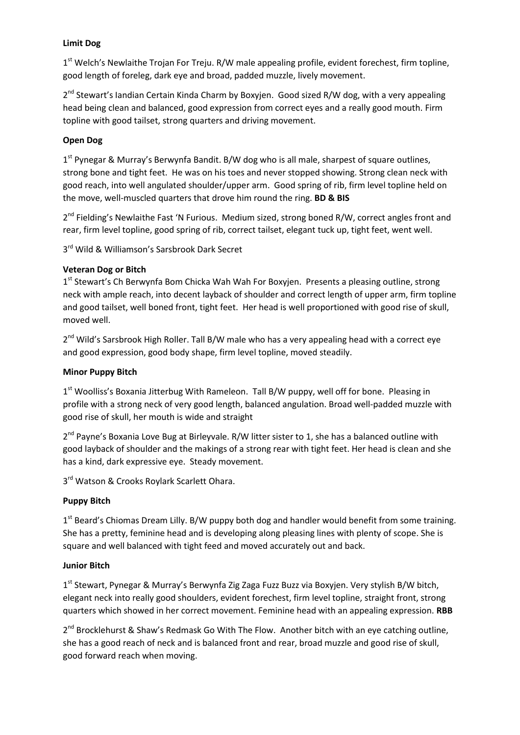# **Limit Dog**

1<sup>st</sup> Welch's Newlaithe Trojan For Treju. R/W male appealing profile, evident forechest, firm topline, good length of foreleg, dark eye and broad, padded muzzle, lively movement.

2<sup>nd</sup> Stewart's landian Certain Kinda Charm by Boxyjen. Good sized R/W dog, with a very appealing head being clean and balanced, good expression from correct eyes and a really good mouth. Firm topline with good tailset, strong quarters and driving movement.

# **Open Dog**

1<sup>st</sup> Pynegar & Murray's Berwynfa Bandit. B/W dog who is all male, sharpest of square outlines, strong bone and tight feet. He was on his toes and never stopped showing. Strong clean neck with good reach, into well angulated shoulder/upper arm. Good spring of rib, firm level topline held on the move, well-muscled quarters that drove him round the ring. **BD & BIS**

2<sup>nd</sup> Fielding's Newlaithe Fast 'N Furious. Medium sized, strong boned R/W, correct angles front and rear, firm level topline, good spring of rib, correct tailset, elegant tuck up, tight feet, went well.

3<sup>rd</sup> Wild & Williamson's Sarsbrook Dark Secret

## **Veteran Dog or Bitch**

1<sup>st</sup> Stewart's Ch Berwynfa Bom Chicka Wah Wah For Boxyjen. Presents a pleasing outline, strong neck with ample reach, into decent layback of shoulder and correct length of upper arm, firm topline and good tailset, well boned front, tight feet. Her head is well proportioned with good rise of skull, moved well.

2<sup>nd</sup> Wild's Sarsbrook High Roller. Tall B/W male who has a very appealing head with a correct eye and good expression, good body shape, firm level topline, moved steadily.

## **Minor Puppy Bitch**

1<sup>st</sup> Woolliss's Boxania Jitterbug With Rameleon. Tall B/W puppy, well off for bone. Pleasing in profile with a strong neck of very good length, balanced angulation. Broad well-padded muzzle with good rise of skull, her mouth is wide and straight

2<sup>nd</sup> Payne's Boxania Love Bug at Birleyvale. R/W litter sister to 1, she has a balanced outline with good layback of shoulder and the makings of a strong rear with tight feet. Her head is clean and she has a kind, dark expressive eye. Steady movement.

3<sup>rd</sup> Watson & Crooks Roylark Scarlett Ohara.

## **Puppy Bitch**

1<sup>st</sup> Beard's Chiomas Dream Lilly. B/W puppy both dog and handler would benefit from some training. She has a pretty, feminine head and is developing along pleasing lines with plenty of scope. She is square and well balanced with tight feed and moved accurately out and back.

## **Junior Bitch**

1<sup>st</sup> Stewart, Pynegar & Murray's Berwynfa Zig Zaga Fuzz Buzz via Boxyjen. Very stylish B/W bitch, elegant neck into really good shoulders, evident forechest, firm level topline, straight front, strong quarters which showed in her correct movement. Feminine head with an appealing expression. **RBB**

2<sup>nd</sup> Brocklehurst & Shaw's Redmask Go With The Flow. Another bitch with an eye catching outline, she has a good reach of neck and is balanced front and rear, broad muzzle and good rise of skull, good forward reach when moving.